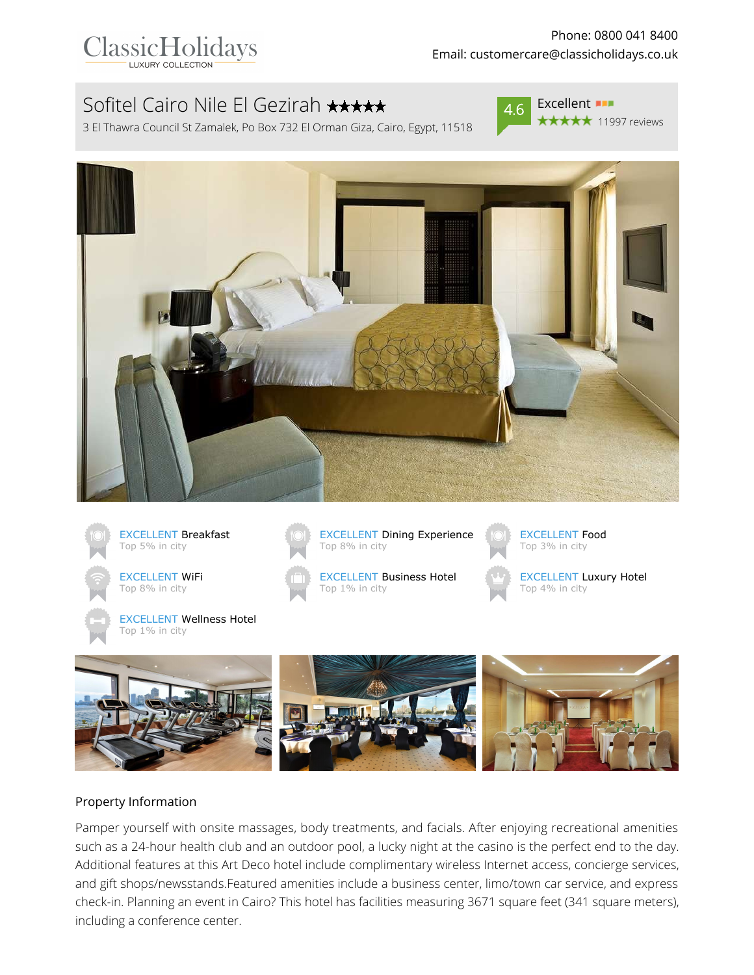

# Sofitel Cairo Nile El Gezirah \*\*\*\*\*

3 El Thawra Council St Zamalek, Po Box 732 El Orman Giza, Cairo, Egypt, 11518



 $4.6$  Excellent \*\*\*\*\* 11997 reviews











EXCELLENT Business Hotel Top 1% in city



EXCELLENT Luxury Hotel Top 4% in city



#### Property Information

Pamper yourself with onsite massages, body treatments, and facials. After enjoying recreational amenities such as a 24-hour health club and an outdoor pool, a lucky night at the casino is the perfect end to the day. Additional features at this Art Deco hotel include complimentary wireless Internet access, concierge services, and gift shops/newsstands.Featured amenities include a business center, limo/town car service, and express check-in. Planning an event in Cairo? This hotel has facilities measuring 3671 square feet (341 square meters), including a conference center.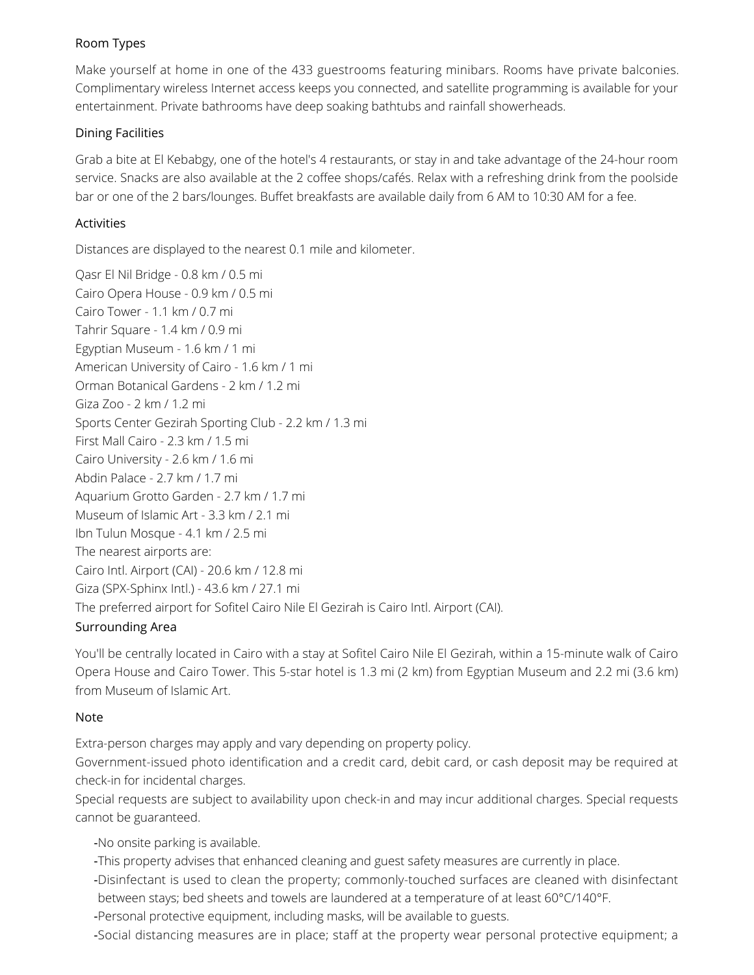# Room Types

Make yourself at home in one of the 433 guestrooms featuring minibars. Rooms have private balconies. Complimentary wireless Internet access keeps you connected, and satellite programming is available for your entertainment. Private bathrooms have deep soaking bathtubs and rainfall showerheads.

## Dining Facilities

Grab a bite at El Kebabgy, one of the hotel's 4 restaurants, or stay in and take advantage of the 24-hour room service. Snacks are also available at the 2 coffee shops/cafés. Relax with a refreshing drink from the poolside bar or one of the 2 bars/lounges. Buffet breakfasts are available daily from 6 AM to 10:30 AM for a fee.

## Activities

Distances are displayed to the nearest 0.1 mile and kilometer.

Qasr El Nil Bridge - 0.8 km / 0.5 mi Cairo Opera House - 0.9 km / 0.5 mi Cairo Tower - 1.1 km / 0.7 mi Tahrir Square - 1.4 km / 0.9 mi Egyptian Museum - 1.6 km / 1 mi American University of Cairo - 1.6 km / 1 mi Orman Botanical Gardens - 2 km / 1.2 mi Giza Zoo - 2 km / 1.2 mi Sports Center Gezirah Sporting Club - 2.2 km / 1.3 mi First Mall Cairo - 2.3 km / 1.5 mi Cairo University - 2.6 km / 1.6 mi Abdin Palace - 2.7 km / 1.7 mi Aquarium Grotto Garden - 2.7 km / 1.7 mi Museum of Islamic Art - 3.3 km / 2.1 mi Ibn Tulun Mosque - 4.1 km / 2.5 mi The nearest airports are: Cairo Intl. Airport (CAI) - 20.6 km / 12.8 mi Giza (SPX-Sphinx Intl.) - 43.6 km / 27.1 mi The preferred airport for Sofitel Cairo Nile El Gezirah is Cairo Intl. Airport (CAI).

# Surrounding Area

You'll be centrally located in Cairo with a stay at Sofitel Cairo Nile El Gezirah, within a 15-minute walk of Cairo Opera House and Cairo Tower. This 5-star hotel is 1.3 mi (2 km) from Egyptian Museum and 2.2 mi (3.6 km) from Museum of Islamic Art.

#### Note

Extra-person charges may apply and vary depending on property policy.

Government-issued photo identification and a credit card, debit card, or cash deposit may be required at check-in for incidental charges.

Special requests are subject to availability upon check-in and may incur additional charges. Special requests cannot be guaranteed.

-No onsite parking is available.

- -This property advises that enhanced cleaning and guest safety measures are currently in place.
- -Disinfectant is used to clean the property; commonly-touched surfaces are cleaned with disinfectant between stays; bed sheets and towels are laundered at a temperature of at least 60°C/140°F.
- -Personal protective equipment, including masks, will be available to guests.

-Social distancing measures are in place; staff at the property wear personal protective equipment; a